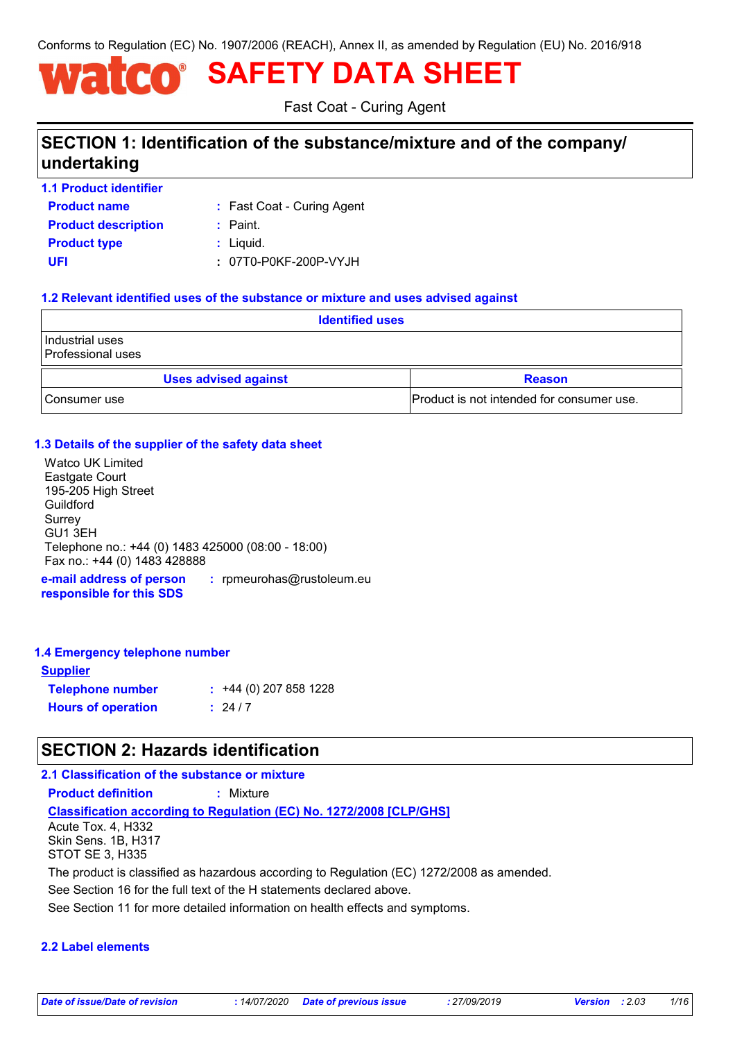Conforms to Regulation (EC) No. 1907/2006 (REACH), Annex II, as amended by Regulation (EU) No. 2016/918

# **SAFETY DATA SHEET**

Fast Coat - Curing Agent

# **SECTION 1: Identification of the substance/mixture and of the company/ undertaking**

| <b>1.1 Product identifier</b> |                            |
|-------------------------------|----------------------------|
| <b>Product name</b>           | : Fast Coat - Curing Agent |
| <b>Product description</b>    | : Paint.                   |
| <b>Product type</b>           | $:$ Liquid.                |
| UFI                           | : 07T0-P0KF-200P-VYJH      |

# **1.2 Relevant identified uses of the substance or mixture and uses advised against**

| <b>Identified uses</b>                      |                                           |  |
|---------------------------------------------|-------------------------------------------|--|
| Industrial uses<br><b>Professional uses</b> |                                           |  |
| <b>Uses advised against</b>                 | <b>Reason</b>                             |  |
| Consumer use                                | Product is not intended for consumer use. |  |

### **1.3 Details of the supplier of the safety data sheet**

**e-mail address of person :** rpmeurohas@rustoleum.eu Watco UK Limited Eastgate Court 195-205 High Street Guildford Surrey GU1 3EH Telephone no.: +44 (0) 1483 425000 (08:00 - 18:00) Fax no.: +44 (0) 1483 428888

**responsible for this SDS**

### **1.4 Emergency telephone number**

| <b>Supplier</b>           |                        |
|---------------------------|------------------------|
| <b>Telephone number</b>   | $: 44(0)$ 207 858 1228 |
| <b>Hours of operation</b> | : 24/7                 |

# **SECTION 2: Hazards identification**

# **2.1 Classification of the substance or mixture**

**Product definition :** Mixture

**Classification according to Regulation (EC) No. 1272/2008 [CLP/GHS]**

Acute Tox. 4, H332 Skin Sens. 1B, H317 STOT SE 3, H335

The product is classified as hazardous according to Regulation (EC) 1272/2008 as amended.

See Section 16 for the full text of the H statements declared above.

See Section 11 for more detailed information on health effects and symptoms.

### **2.2 Label elements**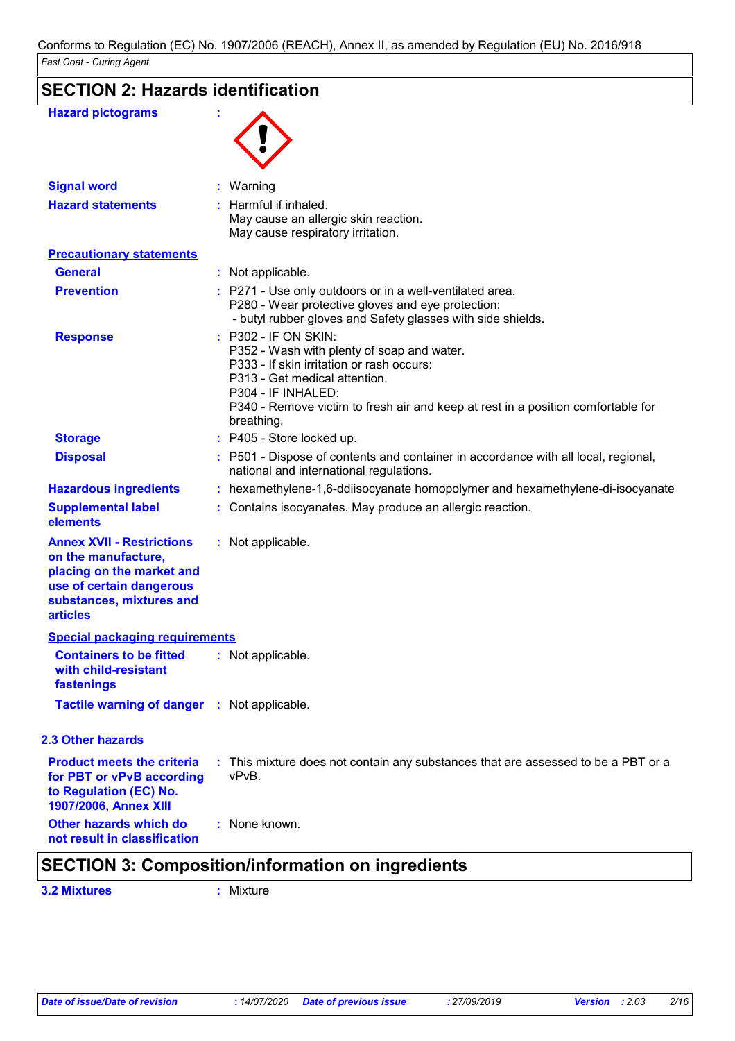| <b>Hazard pictograms</b>                                                                                                                                        |                                                                                                                                                                                                                                                                          |
|-----------------------------------------------------------------------------------------------------------------------------------------------------------------|--------------------------------------------------------------------------------------------------------------------------------------------------------------------------------------------------------------------------------------------------------------------------|
|                                                                                                                                                                 |                                                                                                                                                                                                                                                                          |
|                                                                                                                                                                 |                                                                                                                                                                                                                                                                          |
| <b>Signal word</b>                                                                                                                                              | Warning                                                                                                                                                                                                                                                                  |
| <b>Hazard statements</b>                                                                                                                                        | Harmful if inhaled.<br>May cause an allergic skin reaction.<br>May cause respiratory irritation.                                                                                                                                                                         |
| <b>Precautionary statements</b>                                                                                                                                 |                                                                                                                                                                                                                                                                          |
| <b>General</b>                                                                                                                                                  | : Not applicable.                                                                                                                                                                                                                                                        |
| <b>Prevention</b>                                                                                                                                               | : P271 - Use only outdoors or in a well-ventilated area.<br>P280 - Wear protective gloves and eye protection:<br>- butyl rubber gloves and Safety glasses with side shields.                                                                                             |
| <b>Response</b>                                                                                                                                                 | : P302 - IF ON SKIN:<br>P352 - Wash with plenty of soap and water.<br>P333 - If skin irritation or rash occurs:<br>P313 - Get medical attention.<br>P304 - IF INHALED:<br>P340 - Remove victim to fresh air and keep at rest in a position comfortable for<br>breathing. |
| <b>Storage</b>                                                                                                                                                  | : P405 - Store locked up.                                                                                                                                                                                                                                                |
| <b>Disposal</b>                                                                                                                                                 | : P501 - Dispose of contents and container in accordance with all local, regional,<br>national and international regulations.                                                                                                                                            |
| <b>Hazardous ingredients</b>                                                                                                                                    | hexamethylene-1,6-ddiisocyanate homopolymer and hexamethylene-di-isocyanate                                                                                                                                                                                              |
| <b>Supplemental label</b><br>elements                                                                                                                           | Contains isocyanates. May produce an allergic reaction.                                                                                                                                                                                                                  |
| <b>Annex XVII - Restrictions</b><br>on the manufacture,<br>placing on the market and<br>use of certain dangerous<br>substances, mixtures and<br><b>articles</b> | : Not applicable.                                                                                                                                                                                                                                                        |
| <b>Special packaging requirements</b>                                                                                                                           |                                                                                                                                                                                                                                                                          |
| <b>Containers to be fitted</b><br>with child-resistant<br>fastenings                                                                                            | : Not applicable.                                                                                                                                                                                                                                                        |
| <b>Tactile warning of danger : Not applicable.</b>                                                                                                              |                                                                                                                                                                                                                                                                          |
| <b>2.3 Other hazards</b>                                                                                                                                        |                                                                                                                                                                                                                                                                          |
| <b>Product meets the criteria</b><br>for PBT or vPvB according<br>to Regulation (EC) No.<br>1907/2006, Annex XIII                                               | : This mixture does not contain any substances that are assessed to be a PBT or a<br>vPvB.                                                                                                                                                                               |
| Other hazards which do<br>not result in classification                                                                                                          | : None known.                                                                                                                                                                                                                                                            |

# **SECTION 3: Composition/information on ingredients**

**3.2 Mixtures :** Mixture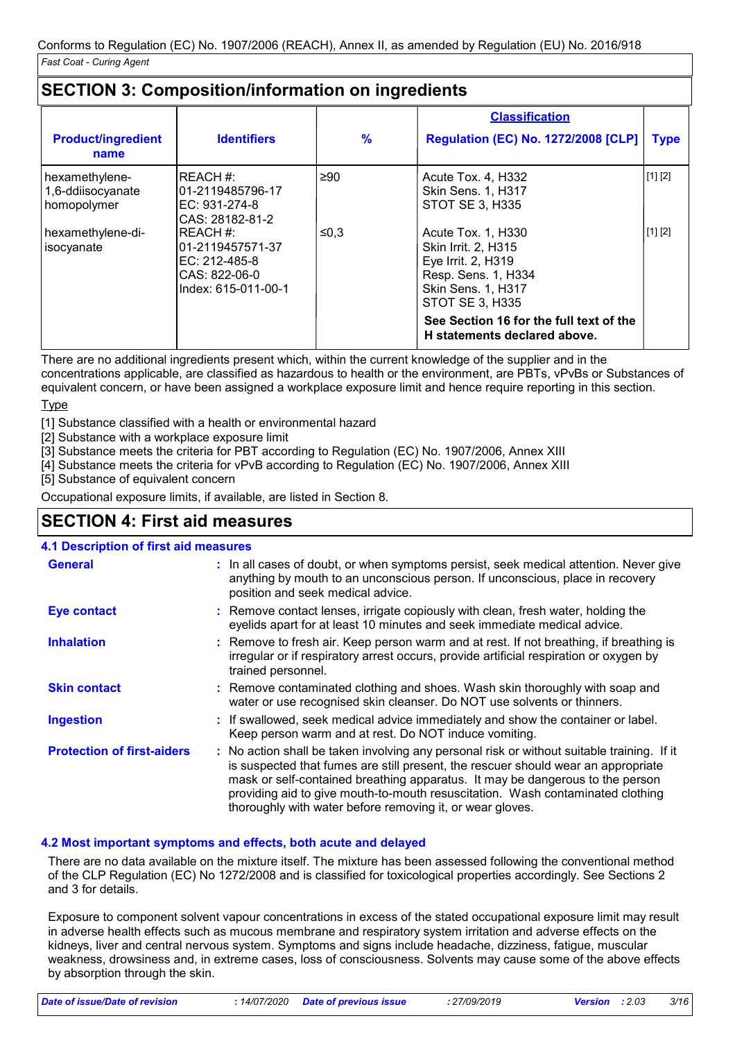# **SECTION 3: Composition/information on ingredients**

|                                                    |                                                                                                  |      | <b>Classification</b>                                                                                                                  |             |
|----------------------------------------------------|--------------------------------------------------------------------------------------------------|------|----------------------------------------------------------------------------------------------------------------------------------------|-------------|
| <b>Product/ingredient</b><br>name                  | <b>Identifiers</b>                                                                               | %    | <b>Regulation (EC) No. 1272/2008 [CLP]</b>                                                                                             | <b>Type</b> |
| hexamethylene-<br>1,6-ddiisocyanate<br>homopolymer | <b>IREACH #:</b><br>101-2119485796-17<br>EC: 931-274-8<br>CAS: 28182-81-2                        | ≥90  | Acute Tox. 4, H332<br><b>Skin Sens. 1, H317</b><br>STOT SE 3, H335                                                                     | [1] [2]     |
| hexamethylene-di-<br>isocyanate                    | <b>IREACH #:</b><br>101-2119457571-37<br>$EC: 212-485-8$<br>CAS: 822-06-0<br>Index: 615-011-00-1 | ≤0,3 | Acute Tox. 1, H330<br>Skin Irrit. 2, H315<br>Eye Irrit. 2, H319<br>Resp. Sens. 1, H334<br>Skin Sens. 1, H317<br><b>STOT SE 3, H335</b> | [1] [2]     |
|                                                    |                                                                                                  |      | See Section 16 for the full text of the<br>H statements declared above.                                                                |             |

There are no additional ingredients present which, within the current knowledge of the supplier and in the concentrations applicable, are classified as hazardous to health or the environment, are PBTs, vPvBs or Substances of equivalent concern, or have been assigned a workplace exposure limit and hence require reporting in this section.

Type

[1] Substance classified with a health or environmental hazard

[2] Substance with a workplace exposure limit

[3] Substance meets the criteria for PBT according to Regulation (EC) No. 1907/2006, Annex XIII

[4] Substance meets the criteria for vPvB according to Regulation (EC) No. 1907/2006, Annex XIII

[5] Substance of equivalent concern

Occupational exposure limits, if available, are listed in Section 8.

# **SECTION 4: First aid measures**

| <b>4.1 Description of first aid measures</b> |                                                                                                                                                                                                                                                                                                                                                                                                                 |
|----------------------------------------------|-----------------------------------------------------------------------------------------------------------------------------------------------------------------------------------------------------------------------------------------------------------------------------------------------------------------------------------------------------------------------------------------------------------------|
| <b>General</b>                               | : In all cases of doubt, or when symptoms persist, seek medical attention. Never give<br>anything by mouth to an unconscious person. If unconscious, place in recovery<br>position and seek medical advice.                                                                                                                                                                                                     |
| <b>Eye contact</b>                           | : Remove contact lenses, irrigate copiously with clean, fresh water, holding the<br>eyelids apart for at least 10 minutes and seek immediate medical advice.                                                                                                                                                                                                                                                    |
| <b>Inhalation</b>                            | : Remove to fresh air. Keep person warm and at rest. If not breathing, if breathing is<br>irregular or if respiratory arrest occurs, provide artificial respiration or oxygen by<br>trained personnel.                                                                                                                                                                                                          |
| <b>Skin contact</b>                          | : Remove contaminated clothing and shoes. Wash skin thoroughly with soap and<br>water or use recognised skin cleanser. Do NOT use solvents or thinners.                                                                                                                                                                                                                                                         |
| <b>Ingestion</b>                             | : If swallowed, seek medical advice immediately and show the container or label.<br>Keep person warm and at rest. Do NOT induce vomiting.                                                                                                                                                                                                                                                                       |
| <b>Protection of first-aiders</b>            | : No action shall be taken involving any personal risk or without suitable training. If it<br>is suspected that fumes are still present, the rescuer should wear an appropriate<br>mask or self-contained breathing apparatus. It may be dangerous to the person<br>providing aid to give mouth-to-mouth resuscitation. Wash contaminated clothing<br>thoroughly with water before removing it, or wear gloves. |

### **4.2 Most important symptoms and effects, both acute and delayed**

There are no data available on the mixture itself. The mixture has been assessed following the conventional method of the CLP Regulation (EC) No 1272/2008 and is classified for toxicological properties accordingly. See Sections 2 and 3 for details.

Exposure to component solvent vapour concentrations in excess of the stated occupational exposure limit may result in adverse health effects such as mucous membrane and respiratory system irritation and adverse effects on the kidneys, liver and central nervous system. Symptoms and signs include headache, dizziness, fatigue, muscular weakness, drowsiness and, in extreme cases, loss of consciousness. Solvents may cause some of the above effects by absorption through the skin.

*Date of issue/Date of revision* **:** *14/07/2020 Date of previous issue : 27/09/2019 Version : 2.03 3/16*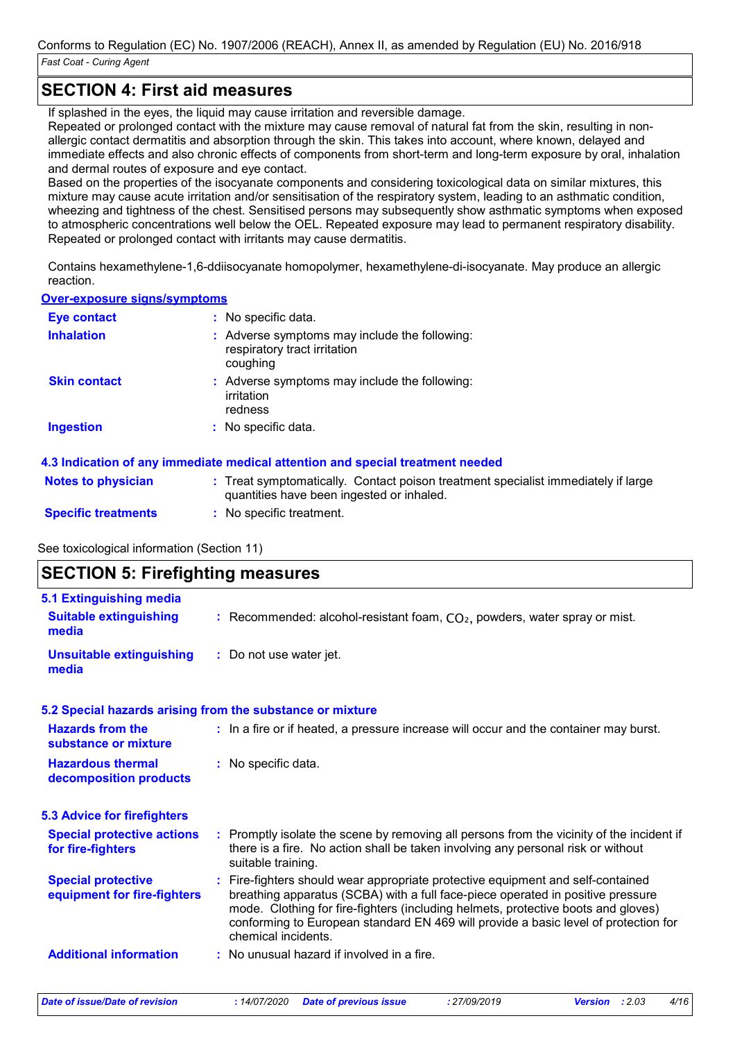# **SECTION 4: First aid measures**

If splashed in the eyes, the liquid may cause irritation and reversible damage.

Repeated or prolonged contact with the mixture may cause removal of natural fat from the skin, resulting in nonallergic contact dermatitis and absorption through the skin. This takes into account, where known, delayed and immediate effects and also chronic effects of components from short-term and long-term exposure by oral, inhalation and dermal routes of exposure and eye contact.

Based on the properties of the isocyanate components and considering toxicological data on similar mixtures, this mixture may cause acute irritation and/or sensitisation of the respiratory system, leading to an asthmatic condition, wheezing and tightness of the chest. Sensitised persons may subsequently show asthmatic symptoms when exposed to atmospheric concentrations well below the OEL. Repeated exposure may lead to permanent respiratory disability. Repeated or prolonged contact with irritants may cause dermatitis.

Contains hexamethylene-1,6-ddiisocyanate homopolymer, hexamethylene-di-isocyanate. May produce an allergic reaction.

#### **Over-exposure signs/symptoms**

| <b>Eye contact</b>  | : No specific data.                                                                       |
|---------------------|-------------------------------------------------------------------------------------------|
| <b>Inhalation</b>   | : Adverse symptoms may include the following:<br>respiratory tract irritation<br>coughing |
| <b>Skin contact</b> | : Adverse symptoms may include the following:<br>irritation<br>redness                    |
| Ingestion           | : No specific data.                                                                       |

### **4.3 Indication of any immediate medical attention and special treatment needed**

| <b>Notes to physician</b>  | : Treat symptomatically. Contact poison treatment specialist immediately if large |
|----------------------------|-----------------------------------------------------------------------------------|
|                            | quantities have been ingested or inhaled.                                         |
| <b>Specific treatments</b> | No specific treatment.                                                            |

See toxicological information (Section 11)

# **SECTION 5: Firefighting measures**

| 5.1 Extinguishing media                                  |                                                                                                                                                                                                                                                                                                                                                                       |  |
|----------------------------------------------------------|-----------------------------------------------------------------------------------------------------------------------------------------------------------------------------------------------------------------------------------------------------------------------------------------------------------------------------------------------------------------------|--|
| <b>Suitable extinguishing</b><br>media                   | : Recommended: alcohol-resistant foam, $CO2$ , powders, water spray or mist.                                                                                                                                                                                                                                                                                          |  |
| <b>Unsuitable extinguishing</b><br>media                 | : Do not use water jet.                                                                                                                                                                                                                                                                                                                                               |  |
|                                                          | 5.2 Special hazards arising from the substance or mixture                                                                                                                                                                                                                                                                                                             |  |
| <b>Hazards from the</b><br>substance or mixture          | : In a fire or if heated, a pressure increase will occur and the container may burst.                                                                                                                                                                                                                                                                                 |  |
| <b>Hazardous thermal</b><br>decomposition products       | : No specific data.                                                                                                                                                                                                                                                                                                                                                   |  |
| <b>5.3 Advice for firefighters</b>                       |                                                                                                                                                                                                                                                                                                                                                                       |  |
| <b>Special protective actions</b><br>for fire-fighters   | : Promptly isolate the scene by removing all persons from the vicinity of the incident if<br>there is a fire. No action shall be taken involving any personal risk or without<br>suitable training.                                                                                                                                                                   |  |
| <b>Special protective</b><br>equipment for fire-fighters | : Fire-fighters should wear appropriate protective equipment and self-contained<br>breathing apparatus (SCBA) with a full face-piece operated in positive pressure<br>mode. Clothing for fire-fighters (including helmets, protective boots and gloves)<br>conforming to European standard EN 469 will provide a basic level of protection for<br>chemical incidents. |  |
|                                                          |                                                                                                                                                                                                                                                                                                                                                                       |  |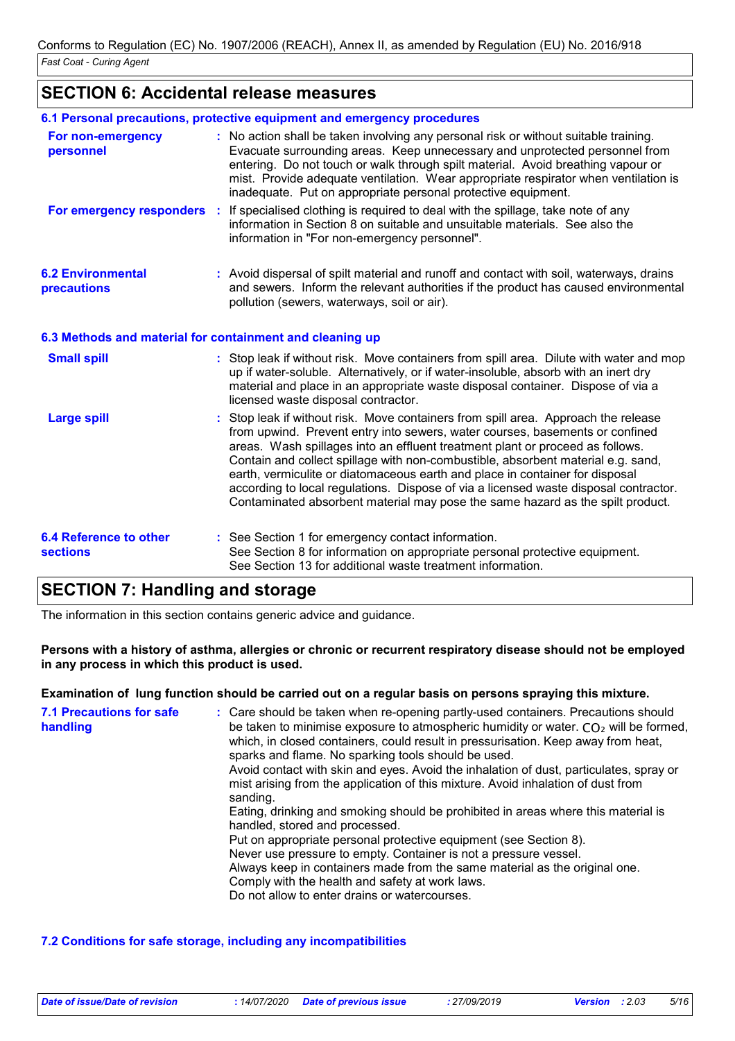# **SECTION 6: Accidental release measures**

|                                                          | 6.1 Personal precautions, protective equipment and emergency procedures                                                                                                                                                                                                                                                                                                                                                                                                                                                                                                                           |
|----------------------------------------------------------|---------------------------------------------------------------------------------------------------------------------------------------------------------------------------------------------------------------------------------------------------------------------------------------------------------------------------------------------------------------------------------------------------------------------------------------------------------------------------------------------------------------------------------------------------------------------------------------------------|
| For non-emergency<br>personnel                           | : No action shall be taken involving any personal risk or without suitable training.<br>Evacuate surrounding areas. Keep unnecessary and unprotected personnel from<br>entering. Do not touch or walk through spilt material. Avoid breathing vapour or<br>mist. Provide adequate ventilation. Wear appropriate respirator when ventilation is<br>inadequate. Put on appropriate personal protective equipment.                                                                                                                                                                                   |
|                                                          | For emergency responders : If specialised clothing is required to deal with the spillage, take note of any<br>information in Section 8 on suitable and unsuitable materials. See also the<br>information in "For non-emergency personnel".                                                                                                                                                                                                                                                                                                                                                        |
| <b>6.2 Environmental</b><br>precautions                  | : Avoid dispersal of spilt material and runoff and contact with soil, waterways, drains<br>and sewers. Inform the relevant authorities if the product has caused environmental<br>pollution (sewers, waterways, soil or air).                                                                                                                                                                                                                                                                                                                                                                     |
| 6.3 Methods and material for containment and cleaning up |                                                                                                                                                                                                                                                                                                                                                                                                                                                                                                                                                                                                   |
| <b>Small spill</b>                                       | : Stop leak if without risk. Move containers from spill area. Dilute with water and mop<br>up if water-soluble. Alternatively, or if water-insoluble, absorb with an inert dry<br>material and place in an appropriate waste disposal container. Dispose of via a<br>licensed waste disposal contractor.                                                                                                                                                                                                                                                                                          |
| <b>Large spill</b>                                       | : Stop leak if without risk. Move containers from spill area. Approach the release<br>from upwind. Prevent entry into sewers, water courses, basements or confined<br>areas. Wash spillages into an effluent treatment plant or proceed as follows.<br>Contain and collect spillage with non-combustible, absorbent material e.g. sand,<br>earth, vermiculite or diatomaceous earth and place in container for disposal<br>according to local regulations. Dispose of via a licensed waste disposal contractor.<br>Contaminated absorbent material may pose the same hazard as the spilt product. |
| <b>6.4 Reference to other</b><br><b>sections</b>         | : See Section 1 for emergency contact information.<br>See Section 8 for information on appropriate personal protective equipment.<br>See Section 13 for additional waste treatment information.                                                                                                                                                                                                                                                                                                                                                                                                   |

# **SECTION 7: Handling and storage**

The information in this section contains generic advice and guidance.

**Persons with a history of asthma, allergies or chronic or recurrent respiratory disease should not be employed in any process in which this product is used.**

#### **Examination of lung function should be carried out on a regular basis on persons spraying this mixture.**

| <b>7.1 Precautions for safe</b><br>handling | : Care should be taken when re-opening partly-used containers. Precautions should<br>be taken to minimise exposure to atmospheric humidity or water. $CO2$ will be formed,<br>which, in closed containers, could result in pressurisation. Keep away from heat,<br>sparks and flame. No sparking tools should be used.<br>Avoid contact with skin and eyes. Avoid the inhalation of dust, particulates, spray or<br>mist arising from the application of this mixture. Avoid inhalation of dust from<br>sanding.<br>Eating, drinking and smoking should be prohibited in areas where this material is<br>handled, stored and processed.<br>Put on appropriate personal protective equipment (see Section 8).<br>Never use pressure to empty. Container is not a pressure vessel.<br>Always keep in containers made from the same material as the original one.<br>Comply with the health and safety at work laws.<br>Do not allow to enter drains or watercourses. |
|---------------------------------------------|--------------------------------------------------------------------------------------------------------------------------------------------------------------------------------------------------------------------------------------------------------------------------------------------------------------------------------------------------------------------------------------------------------------------------------------------------------------------------------------------------------------------------------------------------------------------------------------------------------------------------------------------------------------------------------------------------------------------------------------------------------------------------------------------------------------------------------------------------------------------------------------------------------------------------------------------------------------------|
|---------------------------------------------|--------------------------------------------------------------------------------------------------------------------------------------------------------------------------------------------------------------------------------------------------------------------------------------------------------------------------------------------------------------------------------------------------------------------------------------------------------------------------------------------------------------------------------------------------------------------------------------------------------------------------------------------------------------------------------------------------------------------------------------------------------------------------------------------------------------------------------------------------------------------------------------------------------------------------------------------------------------------|

### **7.2 Conditions for safe storage, including any incompatibilities**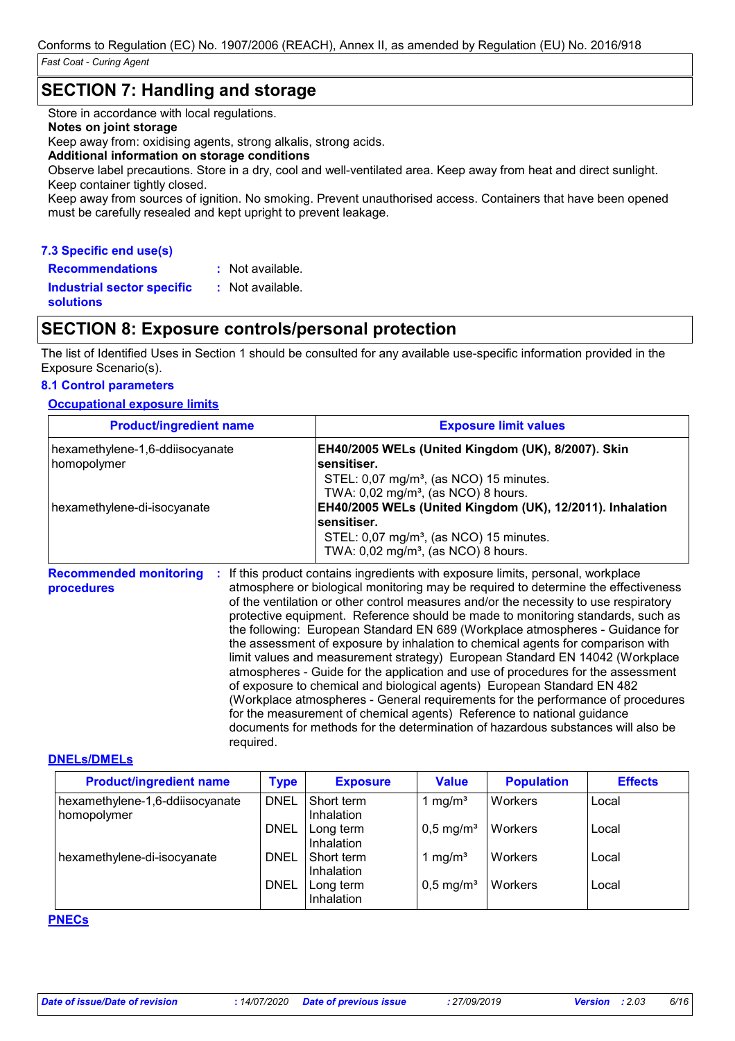# **SECTION 7: Handling and storage**

Store in accordance with local regulations.

#### **Notes on joint storage**

Keep away from: oxidising agents, strong alkalis, strong acids.

#### **Additional information on storage conditions**

Observe label precautions. Store in a dry, cool and well-ventilated area. Keep away from heat and direct sunlight. Keep container tightly closed.

Keep away from sources of ignition. No smoking. Prevent unauthorised access. Containers that have been opened must be carefully resealed and kept upright to prevent leakage.

### **7.3 Specific end use(s)**

| <b>Recommendations</b>                         | $:$ Not available. |
|------------------------------------------------|--------------------|
| <b>Industrial sector specific</b><br>solutions | $:$ Not available. |
|                                                |                    |

# **SECTION 8: Exposure controls/personal protection**

The list of Identified Uses in Section 1 should be consulted for any available use-specific information provided in the Exposure Scenario(s).

# **8.1 Control parameters**

# **Occupational exposure limits**

| <b>Product/ingredient name</b>                   | <b>Exposure limit values</b>                                                                                                                                                         |
|--------------------------------------------------|--------------------------------------------------------------------------------------------------------------------------------------------------------------------------------------|
| hexamethylene-1,6-ddiisocyanate<br>  homopolymer | EH40/2005 WELs (United Kingdom (UK), 8/2007). Skin<br>sensitiser.<br>STEL: 0,07 mg/m <sup>3</sup> , (as NCO) 15 minutes.<br>TWA: $0.02$ mg/m <sup>3</sup> , (as NCO) 8 hours.        |
| hexamethylene-di-isocyanate                      | EH40/2005 WELs (United Kingdom (UK), 12/2011). Inhalation<br>sensitiser.<br>STEL: 0,07 mg/m <sup>3</sup> , (as NCO) 15 minutes.<br>TWA: $0.02$ mg/m <sup>3</sup> , (as NCO) 8 hours. |

**Recommended monitoring : If this product contains ingredients with exposure limits, personal, workplace procedures** atmosphere or biological monitoring may be required to determine the effectiveness of the ventilation or other control measures and/or the necessity to use respiratory protective equipment. Reference should be made to monitoring standards, such as the following: European Standard EN 689 (Workplace atmospheres - Guidance for the assessment of exposure by inhalation to chemical agents for comparison with limit values and measurement strategy) European Standard EN 14042 (Workplace atmospheres - Guide for the application and use of procedures for the assessment of exposure to chemical and biological agents) European Standard EN 482 (Workplace atmospheres - General requirements for the performance of procedures for the measurement of chemical agents) Reference to national guidance documents for methods for the determination of hazardous substances will also be required.

#### **DNELs/DMELs**

| <b>Product/ingredient name</b>                 | <b>Type</b> | <b>Exposure</b>          | <b>Value</b>            | <b>Population</b> | <b>Effects</b> |
|------------------------------------------------|-------------|--------------------------|-------------------------|-------------------|----------------|
| hexamethylene-1,6-ddiisocyanate<br>homopolymer | <b>DNEL</b> | Short term<br>Inhalation | mg/m <sup>3</sup>       | Workers           | Local          |
|                                                | <b>DNEL</b> | Long term<br>Inhalation  | $0,5$ mg/m <sup>3</sup> | Workers           | Local          |
| hexamethylene-di-isocyanate                    | <b>DNEL</b> | Short term<br>Inhalation | mg/m <sup>3</sup>       | Workers           | Local          |
|                                                | <b>DNEL</b> | Long term<br>Inhalation  | $0.5$ mg/m <sup>3</sup> | Workers           | Local          |

# **PNECs**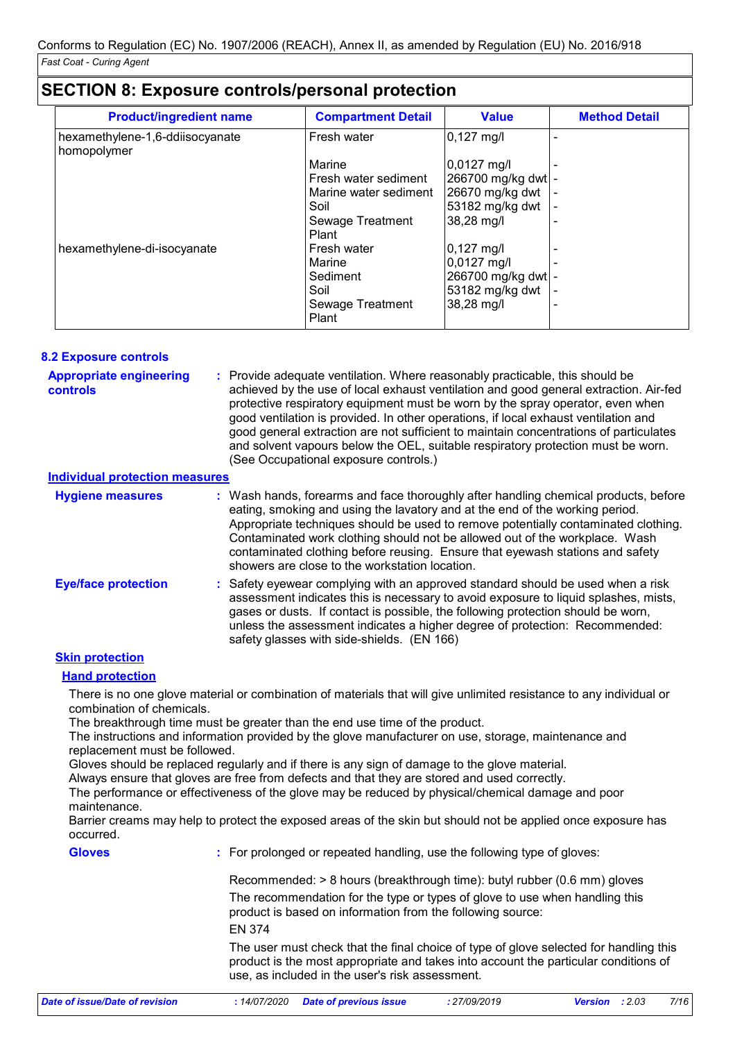| <b>Product/ingredient name</b>                 | <b>Compartment Detail</b> | <b>Value</b>         | <b>Method Detail</b> |
|------------------------------------------------|---------------------------|----------------------|----------------------|
| hexamethylene-1,6-ddiisocyanate<br>homopolymer | Fresh water               | $0,127 \text{ mg/l}$ |                      |
|                                                | Marine                    | $0,0127$ mg/l        |                      |
|                                                | Fresh water sediment      | 266700 mg/kg dwt -   |                      |
|                                                | Marine water sediment     | 26670 mg/kg dwt      |                      |
|                                                | Soil                      | 53182 mg/kg dwt      |                      |
|                                                | Sewage Treatment<br>Plant | 38,28 mg/l           |                      |
| hexamethylene-di-isocyanate                    | Fresh water               | $ 0,127 \text{ mg/}$ |                      |
|                                                | Marine                    | 0,0127 mg/l          |                      |
|                                                | Sediment                  | 266700 mg/kg dwt -   |                      |
|                                                | Soil                      | 53182 mg/kg dwt      |                      |
|                                                | Sewage Treatment<br>Plant | 38,28 mg/l           |                      |

# **SECTION 8: Exposure controls/personal protection**

#### Provide adequate ventilation. Where reasonably practicable, this should be **:** achieved by the use of local exhaust ventilation and good general extraction. Air-fed protective respiratory equipment must be worn by the spray operator, even when good ventilation is provided. In other operations, if local exhaust ventilation and good general extraction are not sufficient to maintain concentrations of particulates and solvent vapours below the OEL, suitable respiratory protection must be worn. (See Occupational exposure controls.) **Eye/face protection : Appropriate engineering controls** Wash hands, forearms and face thoroughly after handling chemical products, before eating, smoking and using the lavatory and at the end of the working period. Appropriate techniques should be used to remove potentially contaminated clothing. Contaminated work clothing should not be allowed out of the workplace. Wash contaminated clothing before reusing. Ensure that eyewash stations and safety showers are close to the workstation location. **8.2 Exposure controls Hygiene measures : Individual protection measures** Safety eyewear complying with an approved standard should be used when a risk assessment indicates this is necessary to avoid exposure to liquid splashes, mists, gases or dusts. If contact is possible, the following protection should be worn, unless the assessment indicates a higher degree of protection: Recommended:

### **Skin protection**

### **Hand protection**

There is no one glove material or combination of materials that will give unlimited resistance to any individual or combination of chemicals.

The breakthrough time must be greater than the end use time of the product.

The instructions and information provided by the glove manufacturer on use, storage, maintenance and replacement must be followed.

safety glasses with side-shields. (EN 166)

Gloves should be replaced regularly and if there is any sign of damage to the glove material.

Always ensure that gloves are free from defects and that they are stored and used correctly.

The performance or effectiveness of the glove may be reduced by physical/chemical damage and poor maintenance.

Barrier creams may help to protect the exposed areas of the skin but should not be applied once exposure has occurred.

**Gloves**

**:** For prolonged or repeated handling, use the following type of gloves:

The recommendation for the type or types of glove to use when handling this product is based on information from the following source: Recommended: > 8 hours (breakthrough time): butyl rubber (0.6 mm) gloves EN 374

The user must check that the final choice of type of glove selected for handling this product is the most appropriate and takes into account the particular conditions of use, as included in the user's risk assessment.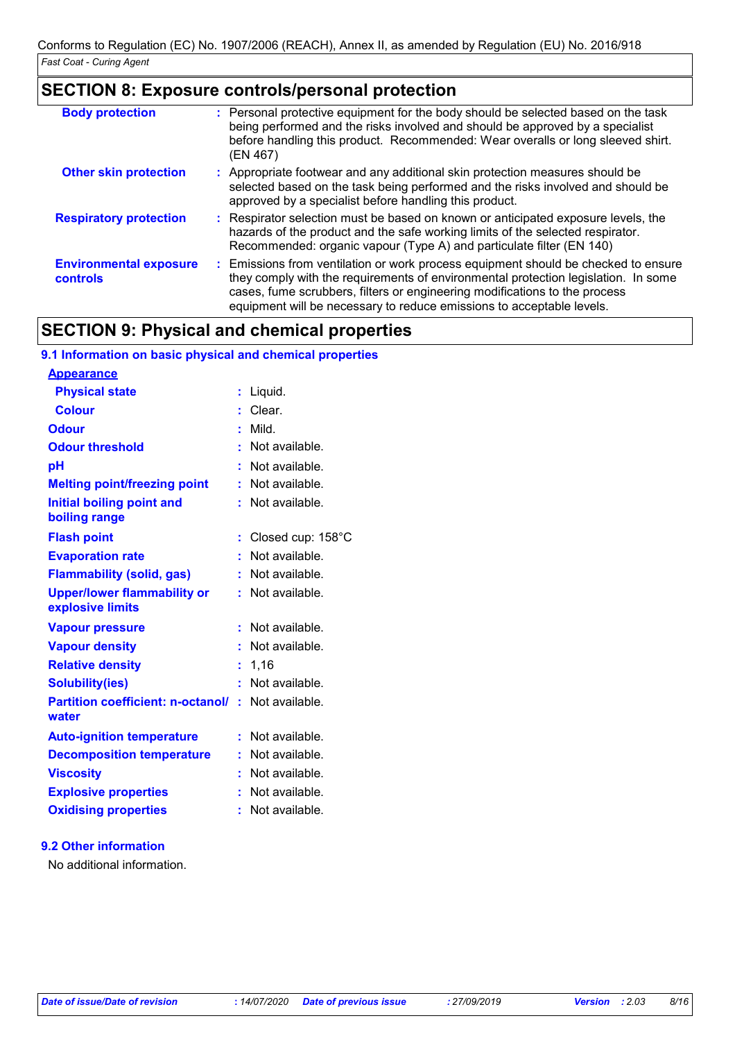# **SECTION 8: Exposure controls/personal protection**

| <b>Body protection</b>                    | : Personal protective equipment for the body should be selected based on the task<br>being performed and the risks involved and should be approved by a specialist<br>before handling this product. Recommended: Wear overalls or long sleeved shirt.<br>(EN 467)                                                               |
|-------------------------------------------|---------------------------------------------------------------------------------------------------------------------------------------------------------------------------------------------------------------------------------------------------------------------------------------------------------------------------------|
| <b>Other skin protection</b>              | : Appropriate footwear and any additional skin protection measures should be<br>selected based on the task being performed and the risks involved and should be<br>approved by a specialist before handling this product.                                                                                                       |
| <b>Respiratory protection</b>             | : Respirator selection must be based on known or anticipated exposure levels, the<br>hazards of the product and the safe working limits of the selected respirator.<br>Recommended: organic vapour (Type A) and particulate filter (EN 140)                                                                                     |
| <b>Environmental exposure</b><br>controls | : Emissions from ventilation or work process equipment should be checked to ensure<br>they comply with the requirements of environmental protection legislation. In some<br>cases, fume scrubbers, filters or engineering modifications to the process<br>equipment will be necessary to reduce emissions to acceptable levels. |

# **SECTION 9: Physical and chemical properties**

| 9.1 Information on basic physical and chemical properties         |   |                   |
|-------------------------------------------------------------------|---|-------------------|
| <b>Appearance</b>                                                 |   |                   |
| <b>Physical state</b>                                             | ÷ | Liquid.           |
| <b>Colour</b>                                                     |   | $:$ Clear.        |
| <b>Odour</b>                                                      |   | Mild.             |
| <b>Odour threshold</b>                                            |   | : Not available.  |
| pH                                                                |   | Not available.    |
| <b>Melting point/freezing point</b>                               |   | : Not available.  |
| Initial boiling point and<br>boiling range                        |   | : Not available.  |
| <b>Flash point</b>                                                |   | Closed cup: 158°C |
| <b>Evaporation rate</b>                                           |   | : Not available.  |
| <b>Flammability (solid, gas)</b>                                  |   | : Not available.  |
| <b>Upper/lower flammability or</b><br>explosive limits            |   | : Not available.  |
| <b>Vapour pressure</b>                                            |   | : Not available.  |
| <b>Vapour density</b>                                             |   | : Not available.  |
| <b>Relative density</b>                                           | ÷ | 1,16              |
| <b>Solubility(ies)</b>                                            |   | Not available.    |
| <b>Partition coefficient: n-octanol/: Not available.</b><br>water |   |                   |
| <b>Auto-ignition temperature</b>                                  |   | : Not available.  |
| <b>Decomposition temperature</b>                                  |   | : Not available.  |
| <b>Viscosity</b>                                                  |   | : Not available.  |
| <b>Explosive properties</b>                                       |   | Not available.    |
| <b>Oxidising properties</b>                                       |   | Not available.    |

# **9.2 Other information**

No additional information.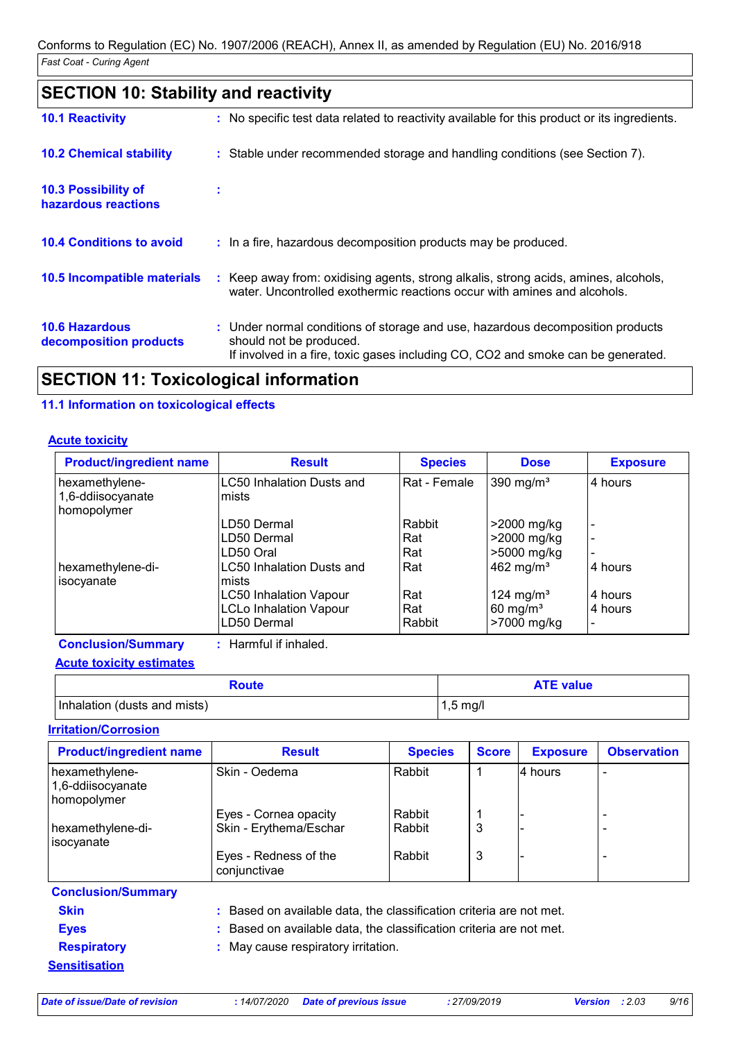| <b>SECTION 10: Stability and reactivity</b>       |                                                                                                                                                                                               |
|---------------------------------------------------|-----------------------------------------------------------------------------------------------------------------------------------------------------------------------------------------------|
| <b>10.1 Reactivity</b>                            | : No specific test data related to reactivity available for this product or its ingredients.                                                                                                  |
| <b>10.2 Chemical stability</b>                    | : Stable under recommended storage and handling conditions (see Section 7).                                                                                                                   |
| <b>10.3 Possibility of</b><br>hazardous reactions | ÷.                                                                                                                                                                                            |
| <b>10.4 Conditions to avoid</b>                   | : In a fire, hazardous decomposition products may be produced.                                                                                                                                |
| 10.5 Incompatible materials                       | Keep away from: oxidising agents, strong alkalis, strong acids, amines, alcohols,<br>water. Uncontrolled exothermic reactions occur with amines and alcohols.                                 |
| <b>10.6 Hazardous</b><br>decomposition products   | : Under normal conditions of storage and use, hazardous decomposition products<br>should not be produced.<br>If involved in a fire, toxic gases including CO, CO2 and smoke can be generated. |
|                                                   |                                                                                                                                                                                               |

# **SECTION 11: Toxicological information**

# **11.1 Information on toxicological effects**

### **Acute toxicity**

| <b>Product/ingredient name</b>   | <b>Result</b>                      | <b>Species</b> | <b>Dose</b>           | <b>Exposure</b> |
|----------------------------------|------------------------------------|----------------|-----------------------|-----------------|
| hexamethylene-                   | <b>LC50 Inhalation Dusts and</b>   | Rat - Female   | 390 mg/m <sup>3</sup> | 4 hours         |
| 1,6-ddiisocyanate<br>homopolymer | mists                              |                |                       |                 |
|                                  | LD50 Dermal                        | Rabbit         | >2000 mg/kg           |                 |
|                                  | LD50 Dermal                        | Rat            | >2000 mg/kg           |                 |
|                                  | LD50 Oral                          | Rat            | >5000 mg/kg           |                 |
| hexamethylene-di-<br>isocyanate  | LC50 Inhalation Dusts and<br>mists | Rat            | 462 mg/m <sup>3</sup> | 4 hours         |
|                                  | <b>LC50 Inhalation Vapour</b>      | Rat            | 124 mg/m <sup>3</sup> | 4 hours         |
|                                  | <b>LCLo Inhalation Vapour</b>      | Rat            | 60 mg/ $m3$           | 4 hours         |
|                                  | LD50 Dermal                        | Rabbit         | >7000 mg/kg           |                 |
| <b>Conclusion/Summary</b>        | : Harmful if inhaled.              |                |                       |                 |

**Acute toxicity estimates**

| Route                        | <b>ATE value</b>   |
|------------------------------|--------------------|
| Inhalation (dusts and mists) | $1.5 \text{ mq/l}$ |

# **Irritation/Corrosion**

| <b>Product/ingredient name</b>                     | <b>Result</b>                                                       | <b>Species</b> | <b>Score</b> | <b>Exposure</b> | <b>Observation</b> |  |
|----------------------------------------------------|---------------------------------------------------------------------|----------------|--------------|-----------------|--------------------|--|
| hexamethylene-<br>1,6-ddiisocyanate<br>homopolymer | Skin - Oedema                                                       | Rabbit         |              | 4 hours         | ۰                  |  |
|                                                    | Eyes - Cornea opacity                                               | Rabbit         |              |                 |                    |  |
| hexamethylene-di-<br>isocyanate                    | Skin - Erythema/Eschar                                              | Rabbit         | 3            |                 |                    |  |
|                                                    | Eyes - Redness of the<br>conjunctivae                               | Rabbit         | 3            |                 |                    |  |
| <b>Conclusion/Summary</b>                          |                                                                     |                |              |                 |                    |  |
| <b>Skin</b>                                        | : Based on available data, the classification criteria are not met. |                |              |                 |                    |  |
| <b>Eyes</b>                                        | : Based on available data, the classification criteria are not met. |                |              |                 |                    |  |
| <b>Respiratory</b>                                 | : May cause respiratory irritation.                                 |                |              |                 |                    |  |
| <b>Sensitisation</b>                               |                                                                     |                |              |                 |                    |  |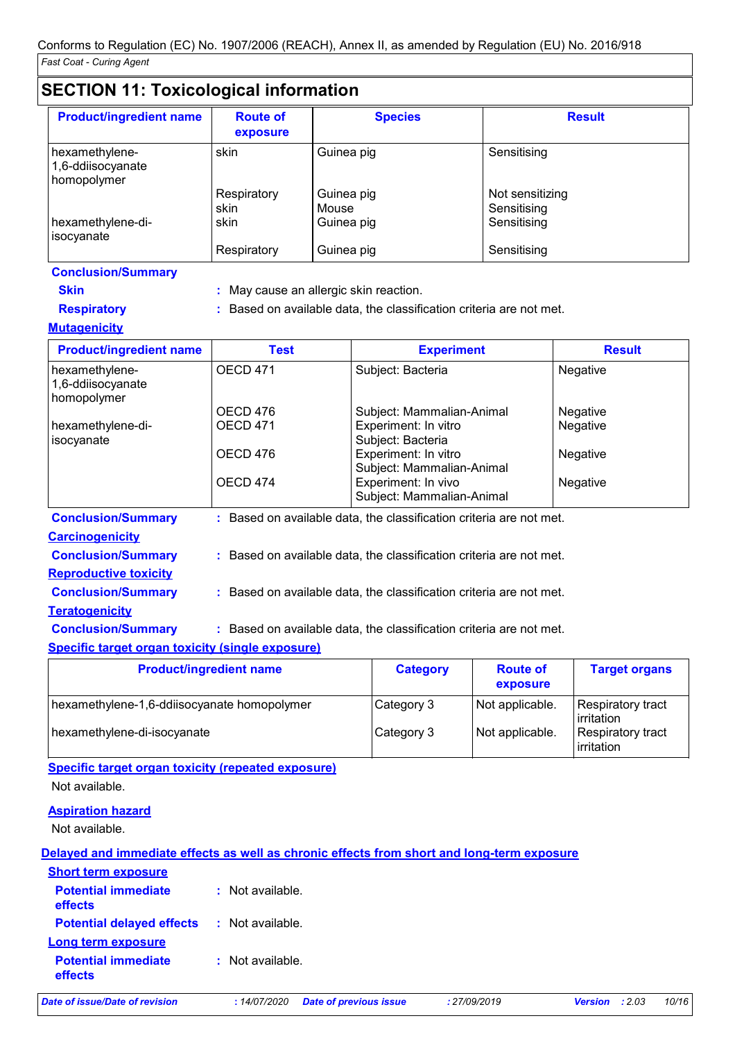# **SECTION 11: Toxicological information**

| <b>Product/ingredient name</b>                     | <b>Route of</b><br>exposure | <b>Species</b>      | <b>Result</b>                  |
|----------------------------------------------------|-----------------------------|---------------------|--------------------------------|
| hexamethylene-<br>1,6-ddiisocyanate<br>homopolymer | skin                        | Guinea pig          | Sensitising                    |
|                                                    | Respiratory<br>skin         | Guinea pig<br>Mouse | Not sensitizing<br>Sensitising |
| hexamethylene-di-<br>isocyanate                    | skin                        | Guinea pig          | Sensitising                    |
|                                                    | Respiratory                 | Guinea pig          | Sensitising                    |

- **Skin :** May cause an allergic skin reaction.
- **Respiratory :** Based on available data, the classification criteria are not met.

# **Mutagenicity**

| <b>Product/ingredient name</b>                     | <b>Test</b>         | <b>Experiment</b>                                                   | <b>Result</b>   |
|----------------------------------------------------|---------------------|---------------------------------------------------------------------|-----------------|
| hexamethylene-<br>1,6-ddiisocyanate<br>homopolymer | OECD <sub>471</sub> | Subject: Bacteria                                                   | <b>Negative</b> |
|                                                    | OECD 476            | Subject: Mammalian-Animal                                           | <b>Negative</b> |
| hexamethylene-di-<br>isocyanate                    | <b>OECD 471</b>     | Experiment: In vitro<br>Subject: Bacteria                           | Negative        |
|                                                    | OECD 476            | Experiment: In vitro<br>Subject: Mammalian-Animal                   | Negative        |
|                                                    | OECD 474            | Experiment: In vivo<br>Subject: Mammalian-Animal                    | Negative        |
| <b>Conclusion/Summary</b>                          |                     | : Based on available data, the classification criteria are not met. |                 |
| <b>Carcinogenicity</b>                             |                     |                                                                     |                 |
| <b>Conclusion/Summary</b>                          |                     | : Based on available data, the classification criteria are not met. |                 |

**Reproductive toxicity**

- **Conclusion/Summary :** Based on available data, the classification criteria are not met.
- **Teratogenicity**

**Conclusion/Summary :** Based on available data, the classification criteria are not met.

### **Specific target organ toxicity (single exposure)**

| <b>Product/ingredient name</b>              | <b>Category</b> | <b>Route of</b><br>exposure | <b>Target organs</b>              |
|---------------------------------------------|-----------------|-----------------------------|-----------------------------------|
| hexamethylene-1,6-ddiisocyanate homopolymer | Category 3      | Not applicable.             | Respiratory tract<br>l irritation |
| hexamethylene-di-isocyanate                 | Category 3      | Not applicable.             | Respiratory tract<br>irritation   |

**Specific target organ toxicity (repeated exposure)** Not available.

### **Aspiration hazard**

Not available.

### **Delayed and immediate effects as well as chronic effects from short and long-term exposure**

| <b>Short term exposure</b>            |                    |
|---------------------------------------|--------------------|
| <b>Potential immediate</b><br>effects | $:$ Not available. |
| <b>Potential delayed effects</b>      | : Not available.   |
| Long term exposure                    |                    |
| <b>Potential immediate</b><br>effects | $:$ Not available. |

*Date of issue/Date of revision* **:** *14/07/2020 Date of previous issue : 27/09/2019 Version : 2.03 10/16*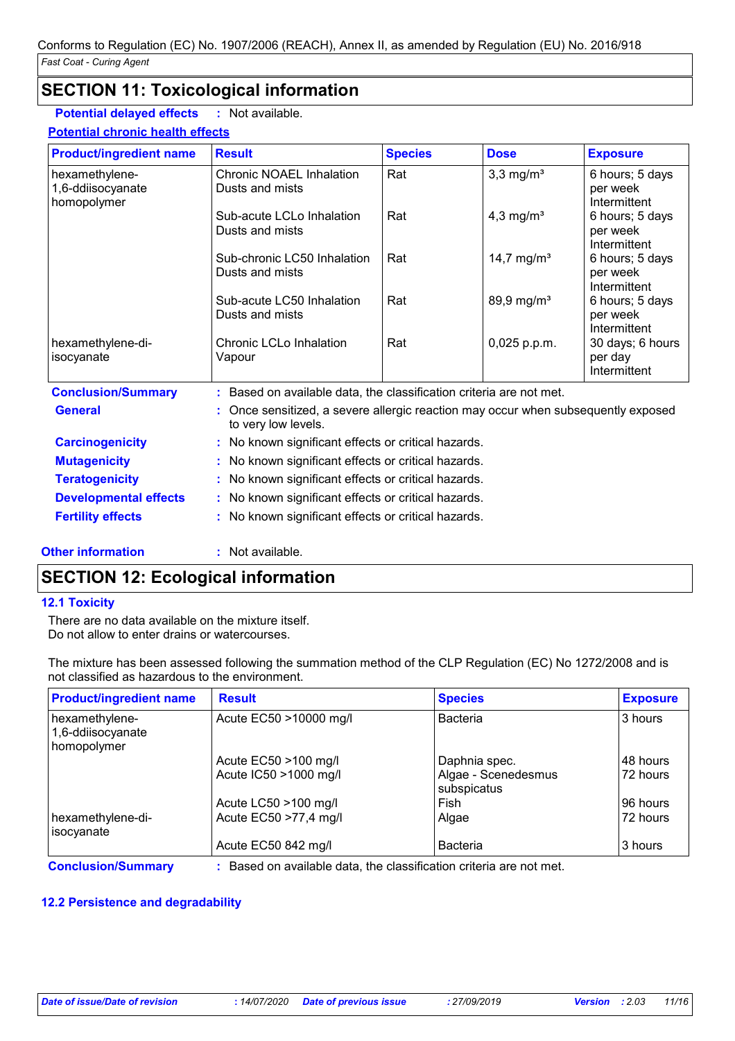# **SECTION 11: Toxicological information**

**Potential delayed effects :** Not available.

#### **Potential chronic health effects**

| <b>Product/ingredient name</b>                     | <b>Result</b>                                                                                          | <b>Species</b> | <b>Dose</b>             | <b>Exposure</b>                             |
|----------------------------------------------------|--------------------------------------------------------------------------------------------------------|----------------|-------------------------|---------------------------------------------|
| hexamethylene-<br>1,6-ddiisocyanate<br>homopolymer | Chronic NOAEL Inhalation<br>Dusts and mists                                                            | Rat            | $3,3$ mg/m <sup>3</sup> | 6 hours; 5 days<br>per week<br>Intermittent |
|                                                    | Sub-acute LCLo Inhalation<br>Dusts and mists                                                           | Rat            | 4,3 mg/ $m3$            | 6 hours; 5 days<br>per week<br>Intermittent |
|                                                    | Sub-chronic LC50 Inhalation<br>Dusts and mists                                                         | Rat            | 14,7 mg/m <sup>3</sup>  | 6 hours; 5 days<br>per week<br>Intermittent |
|                                                    | Sub-acute LC50 Inhalation<br>Dusts and mists                                                           | Rat            | 89,9 mg/m <sup>3</sup>  | 6 hours; 5 days<br>per week<br>Intermittent |
| hexamethylene-di-<br>isocyanate                    | Chronic LCLo Inhalation<br>Vapour                                                                      | Rat            | 0,025 p.p.m.            | 30 days; 6 hours<br>per day<br>Intermittent |
| <b>Conclusion/Summary</b>                          | Based on available data, the classification criteria are not met.                                      |                |                         |                                             |
| <b>General</b>                                     | Once sensitized, a severe allergic reaction may occur when subsequently exposed<br>to very low levels. |                |                         |                                             |
| <b>Carcinogenicity</b>                             | No known significant effects or critical hazards.                                                      |                |                         |                                             |
| <b>Mutagenicity</b>                                | No known significant effects or critical hazards.                                                      |                |                         |                                             |
| <b>Teratogenicity</b>                              | No known significant effects or critical hazards.                                                      |                |                         |                                             |
| <b>Developmental effects</b>                       | No known significant effects or critical hazards.                                                      |                |                         |                                             |
| <b>Fertility effects</b>                           | No known significant effects or critical hazards.                                                      |                |                         |                                             |

### **Other information :** Not available.

# **SECTION 12: Ecological information**

### **12.1 Toxicity**

There are no data available on the mixture itself. Do not allow to enter drains or watercourses.

The mixture has been assessed following the summation method of the CLP Regulation (EC) No 1272/2008 and is not classified as hazardous to the environment.

| <b>Product/ingredient name</b>                     | <b>Result</b>                                                     | <b>Species</b>                     | <b>Exposure</b> |
|----------------------------------------------------|-------------------------------------------------------------------|------------------------------------|-----------------|
| hexamethylene-<br>1,6-ddiisocyanate<br>homopolymer | Acute EC50 >10000 mg/l                                            | <b>Bacteria</b>                    | 3 hours         |
|                                                    | Acute EC50 >100 mg/l                                              | Daphnia spec.                      | 48 hours        |
|                                                    | Acute IC50 > 1000 mg/l                                            | Algae - Scenedesmus<br>subspicatus | 72 hours        |
|                                                    | Acute LC50 >100 mg/l                                              | Fish                               | 196 hours       |
| hexamethylene-di-<br>socyanate                     | Acute EC50 >77,4 mg/l                                             | Algae                              | 72 hours        |
|                                                    | Acute EC50 842 mg/l                                               | <b>Bacteria</b>                    | 3 hours         |
| <b>Conclusion/Summary</b>                          | . Based on available data the classification criteria are not met |                                    |                 |

**nclusion/Summary** 

# **12.2 Persistence and degradability**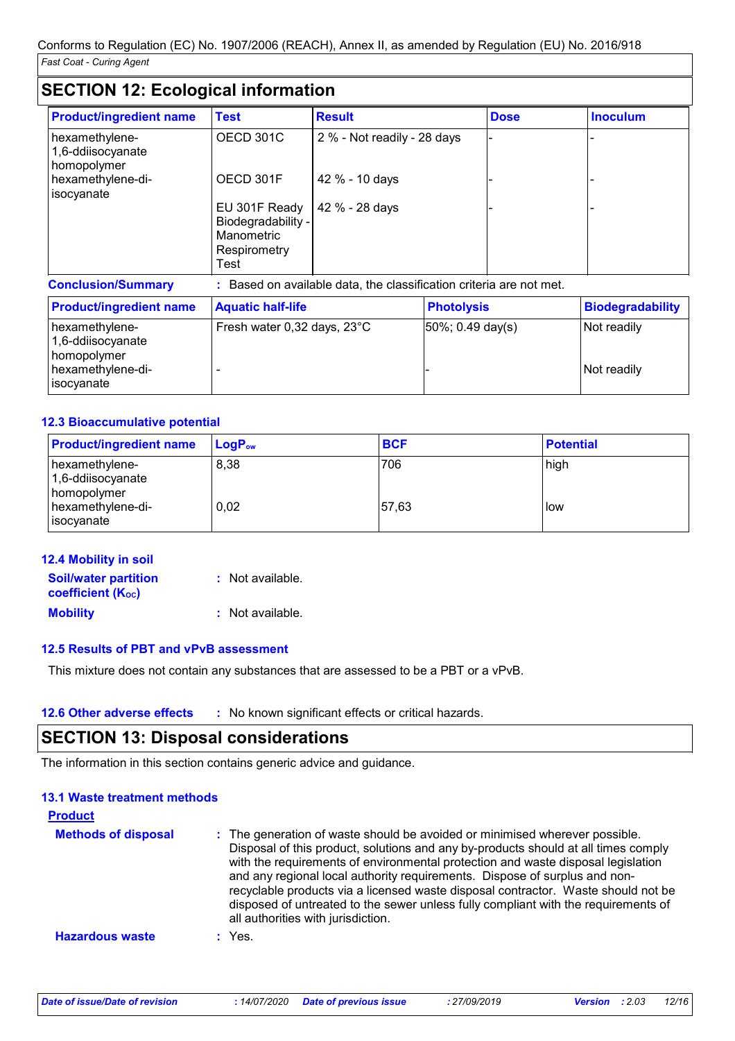# **SECTION 12: Ecological information**

| <b>Product/ingredient name</b>                                          | <b>Test</b>                                                               | <b>Result</b>                                                       |                      | <b>Dose</b> | <b>Inoculum</b>            |
|-------------------------------------------------------------------------|---------------------------------------------------------------------------|---------------------------------------------------------------------|----------------------|-------------|----------------------------|
| hexamethylene-<br>1,6-ddiisocyanate<br>homopolymer                      | OECD 301C                                                                 | 2 % - Not readily - 28 days                                         |                      |             |                            |
| hexamethylene-di-<br>isocyanate                                         | OECD 301F                                                                 | 42 % - 10 days                                                      |                      |             |                            |
|                                                                         | EU 301F Ready<br>Biodegradability -<br>Manometric<br>Respirometry<br>Test | 42 % - 28 days                                                      |                      |             |                            |
| <b>Conclusion/Summary</b>                                               |                                                                           | : Based on available data, the classification criteria are not met. |                      |             |                            |
| <b>Product/ingredient name</b>                                          | <b>Aquatic half-life</b>                                                  |                                                                     | <b>Photolysis</b>    |             | <b>Biodegradability</b>    |
| hexamethylene-<br>1,6-ddiisocyanate<br>homopolymer<br>hexamethylene-di- | Fresh water 0,32 days, 23°C                                               |                                                                     | $50\%$ ; 0.49 day(s) |             | Not readily<br>Not readily |

# **12.3 Bioaccumulative potential**

isocyanate

| <b>Product/ingredient name</b>                     | $\mathsf{LogP}_\mathsf{ow}$ | <b>BCF</b> | <b>Potential</b> |
|----------------------------------------------------|-----------------------------|------------|------------------|
| hexamethylene-<br>1,6-ddiisocyanate<br>homopolymer | 8,38                        | 706        | high             |
| hexamethylene-di-<br>  isocyanate                  | 0,02                        | 57,63      | l low            |

| <b>12.4 Mobility in soil</b>                            |                  |
|---------------------------------------------------------|------------------|
| <b>Soil/water partition</b><br><b>coefficient (Koc)</b> | : Not available. |
| <b>Mobility</b>                                         | : Not available. |

### **12.5 Results of PBT and vPvB assessment**

This mixture does not contain any substances that are assessed to be a PBT or a vPvB.

**12.6 Other adverse effects** : No known significant effects or critical hazards.

# **SECTION 13: Disposal considerations**

The information in this section contains generic advice and guidance.

| <b>13.1 Waste treatment methods</b> |                                                                                                                                                                                                                                                                                                                                                                                                                                                                                                                                                      |
|-------------------------------------|------------------------------------------------------------------------------------------------------------------------------------------------------------------------------------------------------------------------------------------------------------------------------------------------------------------------------------------------------------------------------------------------------------------------------------------------------------------------------------------------------------------------------------------------------|
| <b>Product</b>                      |                                                                                                                                                                                                                                                                                                                                                                                                                                                                                                                                                      |
| <b>Methods of disposal</b>          | : The generation of waste should be avoided or minimised wherever possible.<br>Disposal of this product, solutions and any by-products should at all times comply<br>with the requirements of environmental protection and waste disposal legislation<br>and any regional local authority requirements. Dispose of surplus and non-<br>recyclable products via a licensed waste disposal contractor. Waste should not be<br>disposed of untreated to the sewer unless fully compliant with the requirements of<br>all authorities with jurisdiction. |
| <b>Hazardous waste</b>              | $:$ Yes.                                                                                                                                                                                                                                                                                                                                                                                                                                                                                                                                             |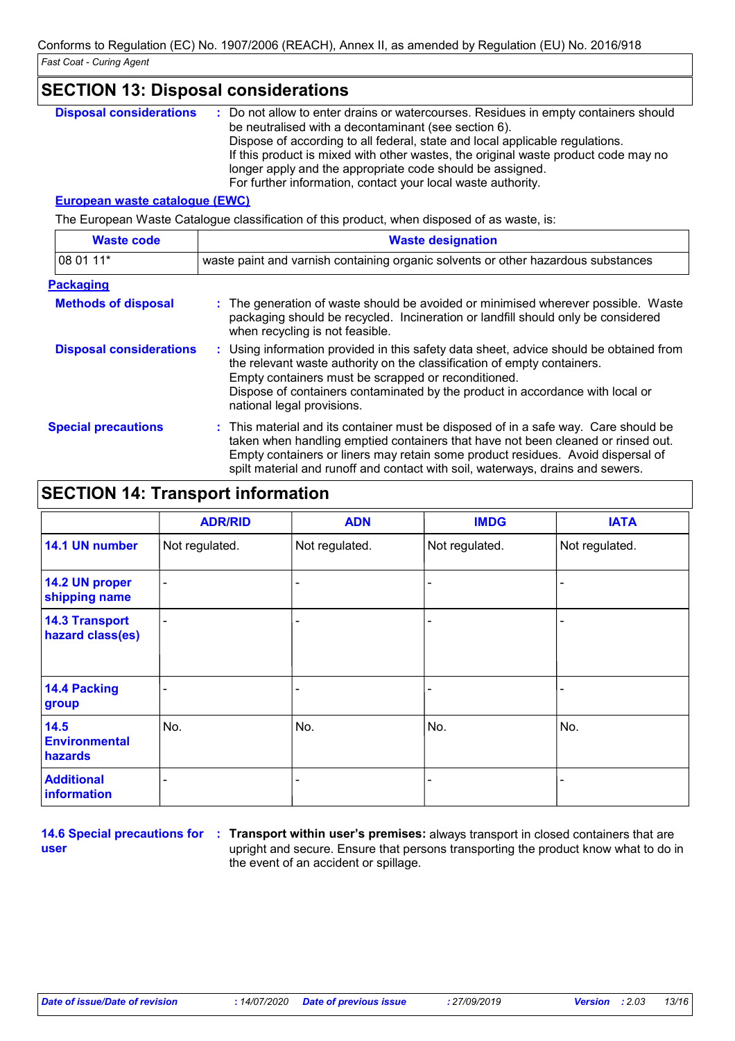| <b>SECTION 13: Disposal considerations</b> |                                                                                                                                                                                                                                                                                                                                                                                                                                                |  |  |
|--------------------------------------------|------------------------------------------------------------------------------------------------------------------------------------------------------------------------------------------------------------------------------------------------------------------------------------------------------------------------------------------------------------------------------------------------------------------------------------------------|--|--|
| <b>Disposal considerations</b>             | : Do not allow to enter drains or watercourses. Residues in empty containers should<br>be neutralised with a decontaminant (see section 6).<br>Dispose of according to all federal, state and local applicable regulations.<br>If this product is mixed with other wastes, the original waste product code may no<br>longer apply and the appropriate code should be assigned.<br>For further information, contact your local waste authority. |  |  |
| <b>European waste catalogue (EWC)</b>      |                                                                                                                                                                                                                                                                                                                                                                                                                                                |  |  |
|                                            | The European Waste Catalogue classification of this product, when disposed of as waste, is:                                                                                                                                                                                                                                                                                                                                                    |  |  |
| <b>Waste code</b>                          | <b>Waste designation</b>                                                                                                                                                                                                                                                                                                                                                                                                                       |  |  |
| 08 01 11*                                  | waste paint and varnish containing organic solvents or other hazardous substances                                                                                                                                                                                                                                                                                                                                                              |  |  |
| <b>Packaging</b>                           |                                                                                                                                                                                                                                                                                                                                                                                                                                                |  |  |
| <b>Methods of disposal</b>                 | : The generation of waste should be avoided or minimised wherever possible. Waste<br>packaging should be recycled. Incineration or landfill should only be considered<br>when recycling is not feasible.                                                                                                                                                                                                                                       |  |  |
| <b>Disposal considerations</b>             | : Using information provided in this safety data sheet, advice should be obtained from<br>the relevant waste authority on the classification of empty containers.<br>Empty containers must be scrapped or reconditioned.<br>Dispose of containers contaminated by the product in accordance with local or<br>national legal provisions.                                                                                                        |  |  |
| <b>Special precautions</b>                 | : This material and its container must be disposed of in a safe way. Care should be<br>taken when handling emptied containers that have not been cleaned or rinsed out.<br>Empty containers or liners may retain some product residues. Avoid dispersal of<br>spilt material and runoff and contact with soil, waterways, drains and sewers.                                                                                                   |  |  |

# **SECTION 14: Transport information**

|                                           | <b>ADR/RID</b>           | <b>ADN</b>     | <b>IMDG</b>    | <b>IATA</b>              |
|-------------------------------------------|--------------------------|----------------|----------------|--------------------------|
| 14.1 UN number                            | Not regulated.           | Not regulated. | Not regulated. | Not regulated.           |
| 14.2 UN proper<br>shipping name           | $\overline{\phantom{0}}$ |                |                |                          |
| <b>14.3 Transport</b><br>hazard class(es) | $\blacksquare$           |                |                | $\overline{\phantom{0}}$ |
| 14.4 Packing<br>group                     |                          |                |                |                          |
| 14.5<br><b>Environmental</b><br>hazards   | No.                      | No.            | No.            | No.                      |
| <b>Additional</b><br>information          |                          |                |                |                          |

**user**

**14.6 Special precautions for : Transport within user's premises: always transport in closed containers that are** upright and secure. Ensure that persons transporting the product know what to do in the event of an accident or spillage.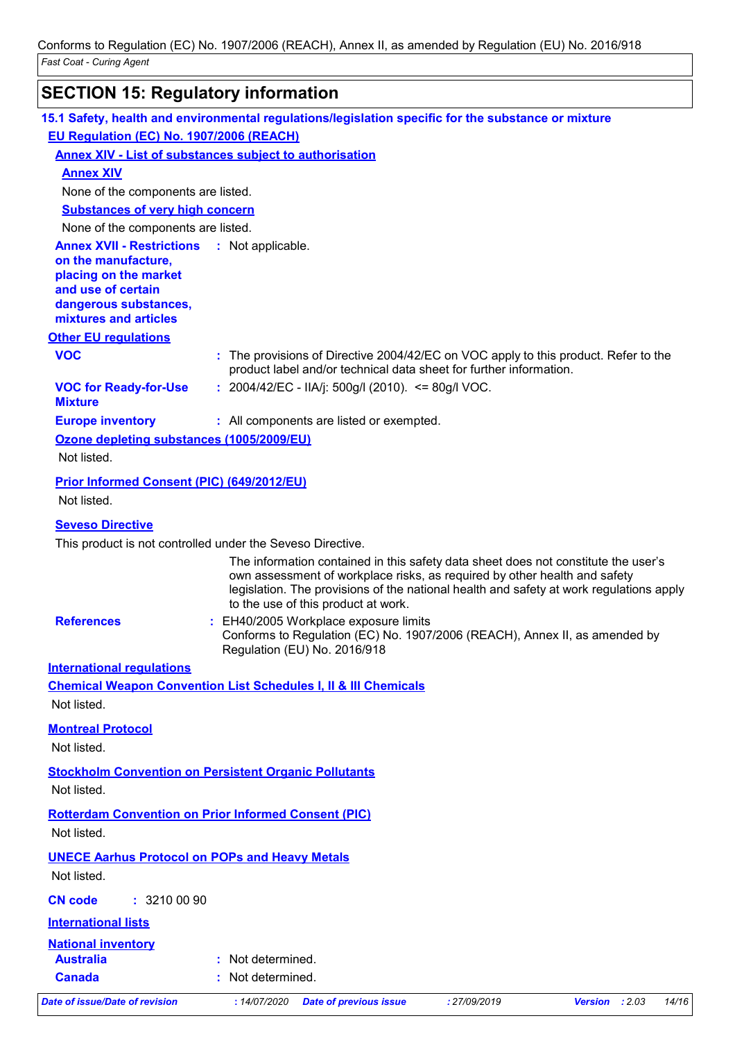# **SECTION 15: Regulatory information**

| 15.1 Safety, health and environmental regulations/legislation specific for the substance or mixture |                                                                       |                               |                                                                            |                                                                                                                                                                               |
|-----------------------------------------------------------------------------------------------------|-----------------------------------------------------------------------|-------------------------------|----------------------------------------------------------------------------|-------------------------------------------------------------------------------------------------------------------------------------------------------------------------------|
| EU Regulation (EC) No. 1907/2006 (REACH)                                                            |                                                                       |                               |                                                                            |                                                                                                                                                                               |
| Annex XIV - List of substances subject to authorisation                                             |                                                                       |                               |                                                                            |                                                                                                                                                                               |
| <b>Annex XIV</b>                                                                                    |                                                                       |                               |                                                                            |                                                                                                                                                                               |
| None of the components are listed.                                                                  |                                                                       |                               |                                                                            |                                                                                                                                                                               |
| <b>Substances of very high concern</b>                                                              |                                                                       |                               |                                                                            |                                                                                                                                                                               |
| None of the components are listed.                                                                  |                                                                       |                               |                                                                            |                                                                                                                                                                               |
| <b>Annex XVII - Restrictions : Not applicable.</b><br>on the manufacture,                           |                                                                       |                               |                                                                            |                                                                                                                                                                               |
| placing on the market                                                                               |                                                                       |                               |                                                                            |                                                                                                                                                                               |
| and use of certain                                                                                  |                                                                       |                               |                                                                            |                                                                                                                                                                               |
| dangerous substances,<br>mixtures and articles                                                      |                                                                       |                               |                                                                            |                                                                                                                                                                               |
| <b>Other EU regulations</b>                                                                         |                                                                       |                               |                                                                            |                                                                                                                                                                               |
| <b>VOC</b>                                                                                          |                                                                       |                               | product label and/or technical data sheet for further information.         | : The provisions of Directive 2004/42/EC on VOC apply to this product. Refer to the                                                                                           |
| <b>VOC for Ready-for-Use</b><br><b>Mixture</b>                                                      | : $2004/42/EC - ILA/j$ : $500g/l$ (2010). <= 80g/l VOC.               |                               |                                                                            |                                                                                                                                                                               |
| <b>Europe inventory</b>                                                                             | : All components are listed or exempted.                              |                               |                                                                            |                                                                                                                                                                               |
| Ozone depleting substances (1005/2009/EU)                                                           |                                                                       |                               |                                                                            |                                                                                                                                                                               |
| Not listed.                                                                                         |                                                                       |                               |                                                                            |                                                                                                                                                                               |
| Prior Informed Consent (PIC) (649/2012/EU)                                                          |                                                                       |                               |                                                                            |                                                                                                                                                                               |
| Not listed.                                                                                         |                                                                       |                               |                                                                            |                                                                                                                                                                               |
| <b>Seveso Directive</b>                                                                             |                                                                       |                               |                                                                            |                                                                                                                                                                               |
| This product is not controlled under the Seveso Directive.                                          |                                                                       |                               |                                                                            |                                                                                                                                                                               |
|                                                                                                     | to the use of this product at work.                                   |                               | own assessment of workplace risks, as required by other health and safety  | The information contained in this safety data sheet does not constitute the user's<br>legislation. The provisions of the national health and safety at work regulations apply |
| <b>References</b>                                                                                   | : EH40/2005 Workplace exposure limits<br>Regulation (EU) No. 2016/918 |                               | Conforms to Regulation (EC) No. 1907/2006 (REACH), Annex II, as amended by |                                                                                                                                                                               |
| <b>International requlations</b>                                                                    |                                                                       |                               |                                                                            |                                                                                                                                                                               |
| <b>Chemical Weapon Convention List Schedules I, II &amp; III Chemicals</b>                          |                                                                       |                               |                                                                            |                                                                                                                                                                               |
| Not listed.                                                                                         |                                                                       |                               |                                                                            |                                                                                                                                                                               |
| <b>Montreal Protocol</b>                                                                            |                                                                       |                               |                                                                            |                                                                                                                                                                               |
| Not listed.                                                                                         |                                                                       |                               |                                                                            |                                                                                                                                                                               |
| <b>Stockholm Convention on Persistent Organic Pollutants</b><br>Not listed.                         |                                                                       |                               |                                                                            |                                                                                                                                                                               |
| <b>Rotterdam Convention on Prior Informed Consent (PIC)</b>                                         |                                                                       |                               |                                                                            |                                                                                                                                                                               |
| Not listed.                                                                                         |                                                                       |                               |                                                                            |                                                                                                                                                                               |
| <b>UNECE Aarhus Protocol on POPs and Heavy Metals</b>                                               |                                                                       |                               |                                                                            |                                                                                                                                                                               |
| Not listed.                                                                                         |                                                                       |                               |                                                                            |                                                                                                                                                                               |
| <b>CN code</b><br>: 32100090                                                                        |                                                                       |                               |                                                                            |                                                                                                                                                                               |
| <b>International lists</b>                                                                          |                                                                       |                               |                                                                            |                                                                                                                                                                               |
| <b>National inventory</b>                                                                           |                                                                       |                               |                                                                            |                                                                                                                                                                               |
| <b>Australia</b>                                                                                    | : Not determined.                                                     |                               |                                                                            |                                                                                                                                                                               |
| <b>Canada</b>                                                                                       | Not determined.                                                       |                               |                                                                            |                                                                                                                                                                               |
| Date of issue/Date of revision                                                                      | : 14/07/2020                                                          | <b>Date of previous issue</b> | : 27/09/2019                                                               | Version : 2.03<br>14/16                                                                                                                                                       |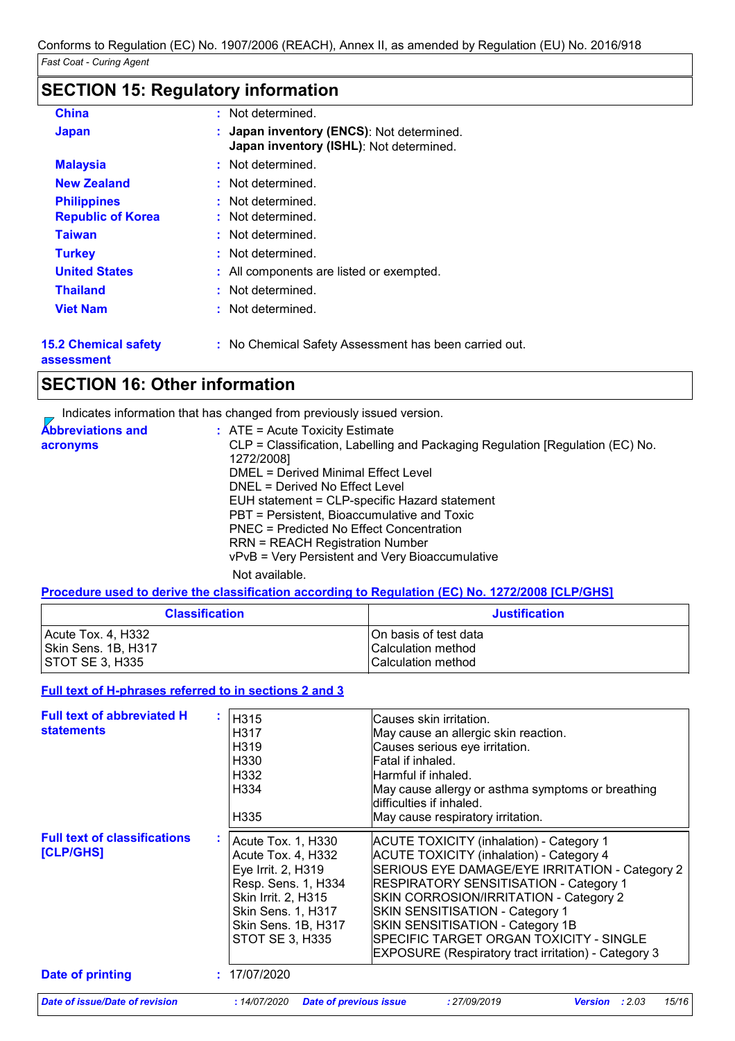# **SECTION 15: Regulatory information**

| <b>China</b>                                   | : Not determined.                                                                    |
|------------------------------------------------|--------------------------------------------------------------------------------------|
| <b>Japan</b>                                   | : Japan inventory (ENCS): Not determined.<br>Japan inventory (ISHL): Not determined. |
| <b>Malaysia</b>                                | : Not determined.                                                                    |
| <b>New Zealand</b>                             | : Not determined.                                                                    |
| <b>Philippines</b><br><b>Republic of Korea</b> | : Not determined.<br>: Not determined.                                               |
| <b>Taiwan</b>                                  | : Not determined.                                                                    |
| <b>Turkey</b>                                  | : Not determined.                                                                    |
| <b>United States</b>                           | : All components are listed or exempted.                                             |
| <b>Thailand</b>                                | : Not determined.                                                                    |
| <b>Viet Nam</b>                                | : Not determined.                                                                    |
|                                                |                                                                                      |

**15.2 Chemical safety assessment**

**:** No Chemical Safety Assessment has been carried out.

# **SECTION 16: Other information**

Indicates information that has changed from previously issued version.

| <b>Abbreviations and</b> | $\therefore$ ATE = Acute Toxicity Estimate                                    |
|--------------------------|-------------------------------------------------------------------------------|
| acronyms                 | CLP = Classification, Labelling and Packaging Regulation [Regulation (EC) No. |
|                          | 1272/2008]                                                                    |
|                          | DMEL = Derived Minimal Effect Level                                           |
|                          | DNEL = Derived No Effect Level                                                |
|                          | EUH statement = CLP-specific Hazard statement                                 |
|                          | PBT = Persistent, Bioaccumulative and Toxic                                   |
|                          | PNEC = Predicted No Effect Concentration                                      |
|                          | <b>RRN = REACH Registration Number</b>                                        |
|                          | vPvB = Very Persistent and Very Bioaccumulative                               |
|                          | الملحا المتحدد المسالحا                                                       |

Not available.

### **Procedure used to derive the classification according to Regulation (EC) No. 1272/2008 [CLP/GHS]**

| <b>Classification</b> | <b>Justification</b>       |
|-----------------------|----------------------------|
| Acute Tox. 4, H332    | IOn basis of test data     |
| Skin Sens. 1B, H317   | Calculation method         |
| I STOT SE 3. H335     | <b>ICalculation method</b> |

### **Full text of H-phrases referred to in sections 2 and 3**

| <b>Full text of abbreviated H</b><br><b>statements</b> | H315<br>H <sub>3</sub> 17<br>H <sub>319</sub><br>H330<br>H332<br>H334<br>H <sub>335</sub>                                                                                                  | Causes skin irritation.<br>May cause an allergic skin reaction.<br>Causes serious eye irritation.<br>Fatal if inhaled.<br>lHarmful if inhaled.<br>May cause allergy or asthma symptoms or breathing<br>ldifficulties if inhaled.<br>May cause respiratory irritation.                                                                                                                                                             |
|--------------------------------------------------------|--------------------------------------------------------------------------------------------------------------------------------------------------------------------------------------------|-----------------------------------------------------------------------------------------------------------------------------------------------------------------------------------------------------------------------------------------------------------------------------------------------------------------------------------------------------------------------------------------------------------------------------------|
| <b>Full text of classifications</b><br>[CLP/GHS]       | Acute Tox. 1, H330<br>Acute Tox. 4, H332<br>Eye Irrit. 2, H319<br>Resp. Sens. 1, H334<br>Skin Irrit. 2, H315<br><b>Skin Sens. 1, H317</b><br>Skin Sens. 1B, H317<br><b>STOT SE 3, H335</b> | <b>ACUTE TOXICITY (inhalation) - Category 1</b><br><b>ACUTE TOXICITY (inhalation) - Category 4</b><br>SERIOUS EYE DAMAGE/EYE IRRITATION - Category 2<br><b>RESPIRATORY SENSITISATION - Category 1</b><br>SKIN CORROSION/IRRITATION - Category 2<br>SKIN SENSITISATION - Category 1<br>SKIN SENSITISATION - Category 1B<br> SPECIFIC TARGET ORGAN TOXICITY - SINGLE<br><b>EXPOSURE (Respiratory tract irritation) - Category 3</b> |
| <b>Date of printing</b>                                | : 17/07/2020                                                                                                                                                                               |                                                                                                                                                                                                                                                                                                                                                                                                                                   |
| Date of issue/Date of revision                         | :14/07/2020<br><b>Date of previous issue</b>                                                                                                                                               | 15/16<br>: 2.03<br>: 27/09/2019<br><b>Version</b>                                                                                                                                                                                                                                                                                                                                                                                 |